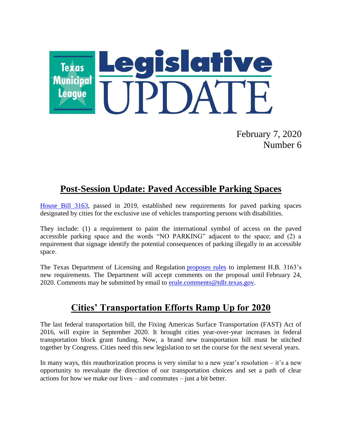

February 7, 2020 Number 6

# **Post-Session Update: Paved Accessible Parking Spaces**

[House Bill 3163,](https://capitol.texas.gov/BillLookup/Text.aspx?LegSess=86R&Bill=HB3163) passed in 2019, established new requirements for paved parking spaces designated by cities for the exclusive use of vehicles transporting persons with disabilities.

They include: (1) a requirement to paint the international symbol of access on the paved accessible parking space and the words "NO PARKING" adjacent to the space; and (2) a requirement that signage identify the potential consequences of parking illegally in an accessible space.

The Texas Department of Licensing and Regulation [proposes rules](https://lnks.gd/l/eyJhbGciOiJIUzI1NiJ9.eyJidWxsZXRpbl9saW5rX2lkIjoxMDAsInVyaSI6ImJwMjpjbGljayIsImJ1bGxldGluX2lkIjoiMjAyMDAxMzAuMTYzNTAyMzEiLCJ1cmwiOiJodHRwczovL3d3dy50ZGxyLnRleGFzLmdvdi9hYi9hYnByb3AtMjAyMC0wMS5odG0ifQ.s6kXAm-HSe0RACknVUzwDCXOY_D1sFVkcShWP6vym2M/br/74516574542-l) to implement H.B. 3163's new requirements. The Department will accept comments on the proposal until February 24, 2020. Comments may be submitted by email to [erule.comments@tdlr.texas.gov.](mailto:erule.comments@tdlr.texas.gov)

### **Cities' Transportation Efforts Ramp Up for 2020**

The last federal transportation bill, the Fixing Americas Surface Transportation (FAST) Act of 2016, will expire in September 2020. It brought cities year-over-year increases in federal transportation block grant funding. Now, a brand new transportation bill must be stitched together by Congress. Cities need this new legislation to set the course for the next several years.

In many ways, this reauthorization process is very similar to a new year's resolution  $-$  it's a new opportunity to reevaluate the direction of our transportation choices and set a path of clear actions for how we make our lives – and commutes – just a bit better.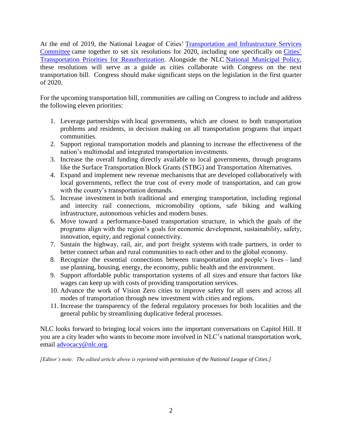At the end of 2019, the National League of Cities' [Transportation and Infrastructure Services](http://ww.nlc.org/TIS)  [Committee](http://ww.nlc.org/TIS) came together to set six resolutions for 2020, including one specifically on [Cities'](https://www.nlc.org/sites/default/files/users/user167/5-TIS-Section-FINAL-2020-pg.-168-200-Res.-31-35-FINAL-.pdf) [Transportation Priorities for Reauthorization.](https://www.nlc.org/sites/default/files/users/user167/5-TIS-Section-FINAL-2020-pg.-168-200-Res.-31-35-FINAL-.pdf) Alongside the NLC [National Municipal Policy,](https://www.nlc.org/national-municipal-policy) these resolutions will serve as a guide as cities collaborate with Congress on the next transportation bill. Congress should make significant steps on the legislation in the first quarter of 2020.

For the upcoming transportation bill, communities are calling on Congress to include and address the following eleven priorities:

- 1. Leverage partnerships with local governments, which are closest to both transportation problems and residents, in decision making on all transportation programs that impact communities.
- 2. Support regional transportation models and planning to increase the effectiveness of the nation's multimodal and integrated transportation investments.
- 3. Increase the overall funding directly available to local governments, through programs like the Surface Transportation Block Grants (STBG) and Transportation Alternatives.
- 4. Expand and implement new revenue mechanisms that are developed collaboratively with local governments, reflect the true cost of every mode of transportation, and can grow with the county's transportation demands.
- 5. Increase investment in both traditional and emerging transportation, including regional and intercity rail connections, micromobility options, safe biking and walking infrastructure, autonomous vehicles and modern buses.
- 6. Move toward a performance-based transportation structure, in which the goals of the programs align with the region's goals for economic development, sustainability, safety, innovation, equity, and regional connectivity.
- 7. Sustain the highway, rail, air, and port freight systems with trade partners, in order to better connect urban and rural communities to each other and to the global economy.
- 8. Recognize the essential connections between transportation and people's lives land use planning, housing, energy, the economy, public health and the environment.
- 9. Support affordable public transportation systems of all sizes and ensure that factors like wages can keep up with costs of providing transportation services.
- 10. Advance the work of Vision Zero cities to improve safety for all users and across all modes of transportation through new investment with cities and regions.
- 11. Increase the transparency of the federal regulatory processes for both localities and the general public by streamlining duplicative federal processes.

NLC looks forward to bringing local voices into the important conversations on Capitol Hill. If you are a city leader who wants to become more involved in NLC's national transportation work, email [advocacy@nlc.org.](mailto:advocacy@nlc.org)

*[Editor's note: The edited article above is reprinted with permission of the National League of Cities.]*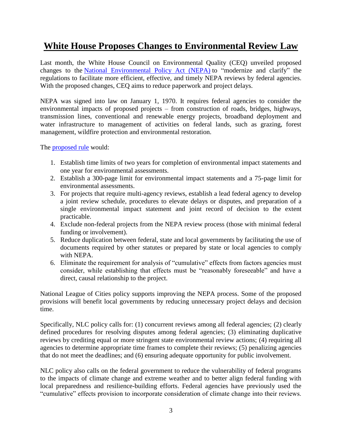# **White House Proposes Changes to Environmental Review Law**

Last month, the White House Council on Environmental Quality (CEQ) unveiled proposed changes to the [National Environmental Policy Act \(NEPA\)](https://www.whitehouse.gov/ceq/nepa-modernization/) to "modernize and clarify" the regulations to facilitate more efficient, effective, and timely NEPA reviews by federal agencies. With the proposed changes, CEQ aims to reduce paperwork and project delays.

NEPA was signed into law on January 1, 1970. It requires federal agencies to consider the environmental impacts of proposed projects – from construction of roads, bridges, highways, transmission lines, conventional and renewable energy projects, broadband deployment and water infrastructure to management of activities on federal lands, such as grazing, forest management, wildfire protection and environmental restoration.

The [proposed rule](https://www.whitehouse.gov/wp-content/uploads/2020/01/20200109FINAL-FACT-SHEET-v3-1.pdf) would:

- 1. Establish time limits of two years for completion of environmental impact statements and one year for environmental assessments.
- 2. Establish a 300-page limit for environmental impact statements and a 75-page limit for environmental assessments.
- 3. For projects that require multi-agency reviews, establish a lead federal agency to develop a joint review schedule, procedures to elevate delays or disputes, and preparation of a single environmental impact statement and joint record of decision to the extent practicable.
- 4. Exclude non-federal projects from the NEPA review process (those with minimal federal funding or involvement).
- 5. Reduce duplication between federal, state and local governments by facilitating the use of documents required by other statutes or prepared by state or local agencies to comply with NEPA.
- 6. Eliminate the requirement for analysis of "cumulative" effects from factors agencies must consider, while establishing that effects must be "reasonably foreseeable" and have a direct, causal relationship to the project.

National League of Cities policy supports improving the NEPA process. Some of the proposed provisions will benefit local governments by reducing unnecessary project delays and decision time.

Specifically, NLC policy calls for: (1) concurrent reviews among all federal agencies; (2) clearly defined procedures for resolving disputes among federal agencies; (3) eliminating duplicative reviews by crediting equal or more stringent state environmental review actions; (4) requiring all agencies to determine appropriate time frames to complete their reviews; (5) penalizing agencies that do not meet the deadlines; and (6) ensuring adequate opportunity for public involvement.

NLC policy also calls on the federal government to reduce the vulnerability of federal programs to the impacts of climate change and extreme weather and to better align federal funding with local preparedness and resilience-building efforts. Federal agencies have previously used the "cumulative" effects provision to incorporate consideration of climate change into their reviews.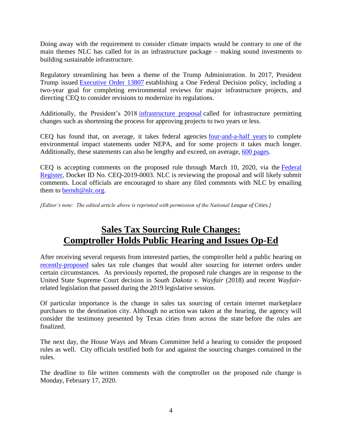Doing away with the requirement to consider climate impacts would be contrary to one of the main themes NLC has called for in an infrastructure package – making sound investments to building sustainable infrastructure.

Regulatory streamlining has been a theme of the Trump Administration. In 2017, President Trump issued [Executive Order 13807](https://www.whitehouse.gov/presidential-actions/presidential-executive-order-establishing-discipline-accountability-environmental-review-permitting-process-infrastructure/) establishing a One Federal Decision policy, including a two-year goal for completing environmental reviews for major infrastructure projects, and directing CEQ to consider revisions to modernize its regulations.

Additionally, the President's 2018 [infrastructure proposal](https://citiesspeak.org/2018/02/15/president-trumps-playbook-for-infrastructure/) called for infrastructure permitting changes such as shortening the process for approving projects to two years or less.

CEQ has found that, on average, it takes federal agencies [four-and-a-half years](https://www.whitehouse.gov/wp-content/uploads/2017/11/CEQ-EIS-Timelines-Report.pdf) to complete environmental impact statements under NEPA, and for some projects it takes much longer. Additionally, these statements can also be lengthy and exceed, on average, [600 pages.](https://www.whitehouse.gov/wp-content/uploads/2017/11/CEQ_EIS_Length_Report_2019-7-22.pdf)

CEQ is accepting comments on the proposed rule through March 10, 2020, via the [Federal](https://www.federalregister.gov/documents/2020/01/10/2019-28106/update-to-the-regulations-implementing-the-procedural-provisions-of-the-national-environmental)  [Register,](https://www.federalregister.gov/documents/2020/01/10/2019-28106/update-to-the-regulations-implementing-the-procedural-provisions-of-the-national-environmental) Docket ID No. CEQ-2019-0003. NLC is reviewing the proposal and will likely submit comments. Local officials are encouraged to share any filed comments with NLC by emailing them to **berndt@nlc.org**.

*[Editor's note: The edited article above is reprinted with permission of the National League of Cities.]*

### **Sales Tax Sourcing Rule Changes: Comptroller Holds Public Hearing and Issues Op-Ed**

After receiving several requests from interested parties, the comptroller held a public hearing on [recently-proposed](https://www.tml.org/638/January-3-2020-Number-1#comptroller) sales tax rule changes that would alter sourcing for internet orders under certain circumstances. As previously reported, the proposed rule changes are in response to the United State Supreme Court decision in *South Dakota v. Wayfair* (2018) and recent *Wayfair*related legislation that passed during the 2019 legislative session.

Of particular importance is the change in sales tax sourcing of certain internet marketplace purchases to the destination city. Although no action was taken at the hearing, the agency will consider the testimony presented by Texas cities from across the state before the rules are finalized.

The next day, the House Ways and Means Committee held a hearing to consider the proposed rules as well. City officials testified both for and against the sourcing changes contained in the rules.

The deadline to file written comments with the comptroller on the proposed rule change is Monday, February 17, 2020.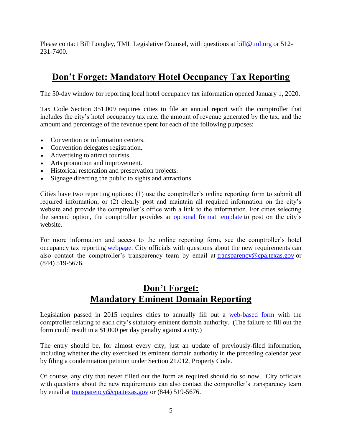Please contact Bill Longley, TML Legislative Counsel, with questions at [bill@tml.org](mailto:bill@tml.org) or 512-231-7400.

# **Don't Forget: Mandatory Hotel Occupancy Tax Reporting**

The 50-day window for reporting local hotel occupancy tax information opened January 1, 2020.

Tax Code Section 351.009 requires cities to file an annual report with the comptroller that includes the city's hotel occupancy tax rate, the amount of revenue generated by the tax, and the amount and percentage of the revenue spent for each of the following purposes:

- Convention or information centers.
- Convention delegates registration.
- Advertising to attract tourists.
- Arts promotion and improvement.
- Historical restoration and preservation projects.
- Signage directing the public to sights and attractions.

Cities have two reporting options: (1) use the comptroller's online reporting form to submit all required information; or (2) clearly post and maintain all required information on the city's website and provide the comptroller's office with a link to the information. For cities selecting the second option, the comptroller provides an optional [format template](http://links.govdelivery.com/track?type=click&enid=ZWFzPTEmbWFpbGluZ2lkPTIwMTgwMTAyLjgzMDg4NjQxJm1lc3NhZ2VpZD1NREItUFJELUJVTC0yMDE4MDEwMi44MzA4ODY0MSZkYXRhYmFzZWlkPTEwMDEmc2VyaWFsPTE3OTIyMjExJmVtYWlsaWQ9c2hvdXN0b25AdG1sLm9yZyZ1c2VyaWQ9c2hvdXN0b25AdG1sLm9yZyZmbD0mZXh0cmE9TXVsdGl2YXJpYXRlSWQ9JiYm&&&107&&&https://comptroller.texas.gov/transparency/local/hotel-receipts/docs/sb1221-online-template.xlsx) to post on the city's website.

For more information and access to the online reporting form, see the comptroller's hotel occupancy tax reporting [webpage.](http://comptroller.texas.gov/transparency/local/hotel-receipts/) City officials with questions about the new requirements can also contact the comptroller's transparency team by email at [transparency@cpa.texas.gov](mailto:transparency@cpa.texas.gov) or (844) 519-5676.

# **Don't Forget: Mandatory Eminent Domain Reporting**

Legislation passed in 2015 requires cities to annually fill out a [web-based form](https://www.comptroller.texas.gov/transparency/local/eminent-domain/reporting.php) with the comptroller relating to each city's statutory eminent domain authority. (The failure to fill out the form could result in a \$1,000 per day penalty against a city.)

The entry should be, for almost every city, just an update of previously-filed information, including whether the city exercised its eminent domain authority in the preceding calendar year by filing a condemnation petition under Section 21.012, Property Code.

Of course, any city that never filled out the form as required should do so now. City officials with questions about the new requirements can also contact the comptroller's transparency team by email at [transparency@cpa.texas.gov](mailto:transparency@cpa.texas.gov) or (844) 519-5676.